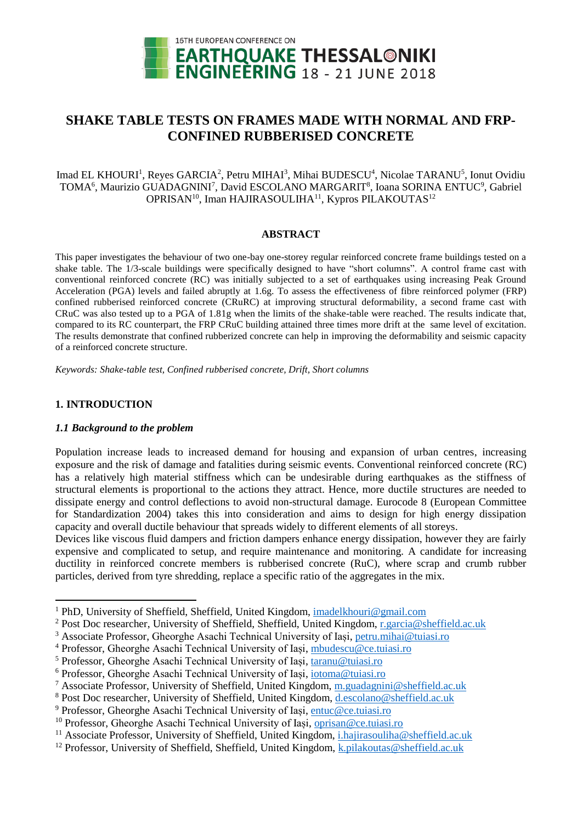

# **SHAKE TABLE TESTS ON FRAMES MADE WITH NORMAL AND FRP-CONFINED RUBBERISED CONCRETE**

Imad EL KHOURI<sup>1</sup>, Reyes GARCIA<sup>2</sup>, Petru MIHAI<sup>3</sup>, Mihai BUDESCU<sup>4</sup>, Nicolae TARANU<sup>5</sup>, Ionut Ovidiu TOMA<sup>6</sup>, Maurizio GUADAGNINI<sup>7</sup>, David ESCOLANO MARGARIT<sup>8</sup>, Ioana SORINA ENTUC<sup>9</sup>, Gabriel OPRISAN<sup>10</sup>, Iman HAJIRASOULIHA<sup>11</sup>, Kypros PILAKOUTAS<sup>12</sup>

#### **ABSTRACT**

This paper investigates the behaviour of two one-bay one-storey regular reinforced concrete frame buildings tested on a shake table. The 1/3-scale buildings were specifically designed to have "short columns". A control frame cast with conventional reinforced concrete (RC) was initially subjected to a set of earthquakes using increasing Peak Ground Acceleration (PGA) levels and failed abruptly at 1.6g. To assess the effectiveness of fibre reinforced polymer (FRP) confined rubberised reinforced concrete (CRuRC) at improving structural deformability, a second frame cast with CRuC was also tested up to a PGA of 1.81g when the limits of the shake-table were reached. The results indicate that, compared to its RC counterpart, the FRP CRuC building attained three times more drift at the same level of excitation. The results demonstrate that confined rubberized concrete can help in improving the deformability and seismic capacity of a reinforced concrete structure.

*Keywords: Shake-table test, Confined rubberised concrete, Drift, Short columns*

### **1. INTRODUCTION**

1

#### *1.1 Background to the problem*

Population increase leads to increased demand for housing and expansion of urban centres, increasing exposure and the risk of damage and fatalities during seismic events. Conventional reinforced concrete (RC) has a relatively high material stiffness which can be undesirable during earthquakes as the stiffness of structural elements is proportional to the actions they attract. Hence, more ductile structures are needed to dissipate energy and control deflections to avoid non-structural damage. Eurocode 8 (European Committee for Standardization 2004) takes this into consideration and aims to design for high energy dissipation capacity and overall ductile behaviour that spreads widely to different elements of all storeys.

Devices like viscous fluid dampers and friction dampers enhance energy dissipation, however they are fairly expensive and complicated to setup, and require maintenance and monitoring. A candidate for increasing ductility in reinforced concrete members is rubberised concrete (RuC), where scrap and crumb rubber particles, derived from tyre shredding, replace a specific ratio of the aggregates in the mix.

<sup>&</sup>lt;sup>1</sup> PhD, University of Sheffield, Sheffield, United Kingdom, [imadelkhouri@gmail.com](mailto:imadelkhouri@gmail.com)

<sup>2</sup> Post Doc researcher, University of Sheffield, Sheffield, United Kingdom, [r.garcia@sheffield.ac.uk](mailto:r.garcia@sheffield.ac.uk)

<sup>3</sup> Associate Professor, Gheorghe Asachi Technical University of Iași, [petru.mihai@tuiasi.ro](mailto:petru.mihai@tuiasi.ro)

<sup>4</sup> Professor, Gheorghe Asachi Technical University of Iași, [mbudescu@ce.tuiasi.ro](mailto:mbudescu@ce.tuiasi.ro)

<sup>5</sup> Professor, Gheorghe Asachi Technical University of Iași, [taranu@tuiasi.ro](mailto:taranu@tuiasi.ro)

<sup>6</sup> Professor, Gheorghe Asachi Technical University of Iași, [iotoma@tuiasi.ro](mailto:iotoma@tuiasi.ro)

<sup>7</sup> Associate Professor, University of Sheffield, United Kingdom, [m.guadagnini@sheffield.ac.uk](mailto:m.guadagnini@sheffield.ac.uk)

<sup>8</sup> Post Doc researcher, University of Sheffield, United Kingdom, [d.escolano@sheffield.ac.uk](mailto:d.escolano@sheffield.ac.uk)

<sup>9</sup> Professor, Gheorghe Asachi Technical University of Iași, [entuc@ce.tuiasi.ro](mailto:entuc@ce.tuiasi.ro)

<sup>&</sup>lt;sup>10</sup> Professor, Gheorghe Asachi Technical University of Iași, [oprisan@ce.tuiasi.ro](mailto:oprisan@ce.tuiasi.ro)

<sup>&</sup>lt;sup>11</sup> Associate Professor, University of Sheffield, United Kingdom, [i.hajirasouliha@sheffield.ac.uk](mailto:i.hajirasouliha@sheffield.ac.uk)

<sup>&</sup>lt;sup>12</sup> Professor, University of Sheffield, Sheffield, United Kingdom, [k.pilakoutas@sheffield.ac.uk](mailto:k.pilakoutas@sheffield.ac.uk)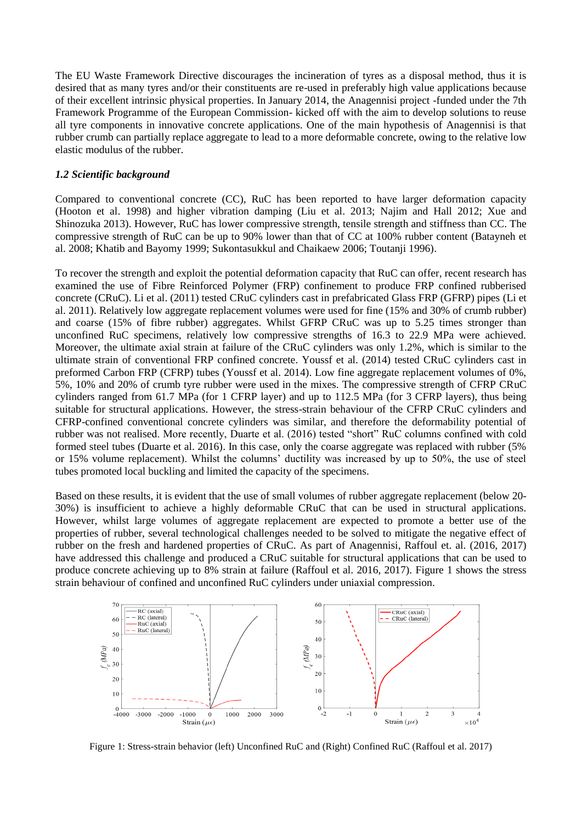The EU Waste Framework Directive discourages the incineration of tyres as a disposal method, thus it is desired that as many tyres and/or their constituents are re-used in preferably high value applications because of their excellent intrinsic physical properties. In January 2014, the Anagennisi project -funded under the 7th Framework Programme of the European Commission- kicked off with the aim to develop solutions to reuse all tyre components in innovative concrete applications. One of the main hypothesis of Anagennisi is that rubber crumb can partially replace aggregate to lead to a more deformable concrete, owing to the relative low elastic modulus of the rubber.

#### *1.2 Scientific background*

Compared to conventional concrete (CC), RuC has been reported to have larger deformation capacity (Hooton et al. 1998) and higher vibration damping (Liu et al. 2013; Najim and Hall 2012; Xue and Shinozuka 2013). However, RuC has lower compressive strength, tensile strength and stiffness than CC. The compressive strength of RuC can be up to 90% lower than that of CC at 100% rubber content (Batayneh et al. 2008; Khatib and Bayomy 1999; Sukontasukkul and Chaikaew 2006; Toutanji 1996).

To recover the strength and exploit the potential deformation capacity that RuC can offer, recent research has examined the use of Fibre Reinforced Polymer (FRP) confinement to produce FRP confined rubberised concrete (CRuC). Li et al. (2011) tested CRuC cylinders cast in prefabricated Glass FRP (GFRP) pipes (Li et al. 2011). Relatively low aggregate replacement volumes were used for fine (15% and 30% of crumb rubber) and coarse (15% of fibre rubber) aggregates. Whilst GFRP CRuC was up to 5.25 times stronger than unconfined RuC specimens, relatively low compressive strengths of 16.3 to 22.9 MPa were achieved. Moreover, the ultimate axial strain at failure of the CRuC cylinders was only 1.2%, which is similar to the ultimate strain of conventional FRP confined concrete. Youssf et al. (2014) tested CRuC cylinders cast in preformed Carbon FRP (CFRP) tubes (Youssf et al. 2014). Low fine aggregate replacement volumes of 0%, 5%, 10% and 20% of crumb tyre rubber were used in the mixes. The compressive strength of CFRP CRuC cylinders ranged from 61.7 MPa (for 1 CFRP layer) and up to 112.5 MPa (for 3 CFRP layers), thus being suitable for structural applications. However, the stress-strain behaviour of the CFRP CRuC cylinders and CFRP-confined conventional concrete cylinders was similar, and therefore the deformability potential of rubber was not realised. More recently, Duarte et al. (2016) tested "short" RuC columns confined with cold formed steel tubes (Duarte et al. 2016). In this case, only the coarse aggregate was replaced with rubber (5% or 15% volume replacement). Whilst the columns' ductility was increased by up to 50%, the use of steel tubes promoted local buckling and limited the capacity of the specimens.

Based on these results, it is evident that the use of small volumes of rubber aggregate replacement (below 20- 30%) is insufficient to achieve a highly deformable CRuC that can be used in structural applications. However, whilst large volumes of aggregate replacement are expected to promote a better use of the properties of rubber, several technological challenges needed to be solved to mitigate the negative effect of rubber on the fresh and hardened properties of CRuC. As part of Anagennisi, Raffoul et. al. (2016, 2017) have addressed this challenge and produced a CRuC suitable for structural applications that can be used to produce concrete achieving up to 8% strain at failure (Raffoul et al. 2016, 2017). [Figure 1](#page-1-0) shows the stress strain behaviour of confined and unconfined RuC cylinders under uniaxial compression.



<span id="page-1-0"></span>Figure 1: Stress-strain behavior (left) Unconfined RuC and (Right) Confined RuC (Raffoul et al. 2017)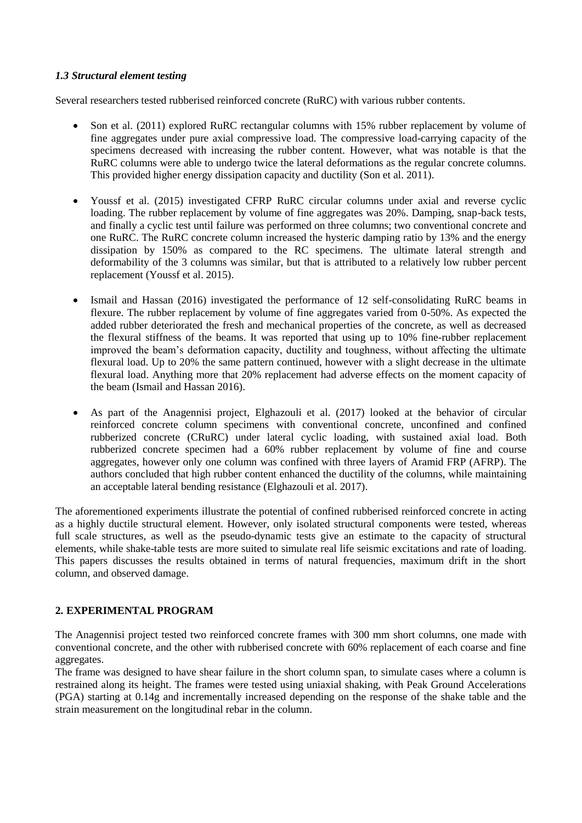### *1.3 Structural element testing*

Several researchers tested rubberised reinforced concrete (RuRC) with various rubber contents.

- Son et al. (2011) explored RuRC rectangular columns with 15% rubber replacement by volume of fine aggregates under pure axial compressive load. The compressive load-carrying capacity of the specimens decreased with increasing the rubber content. However, what was notable is that the RuRC columns were able to undergo twice the lateral deformations as the regular concrete columns. This provided higher energy dissipation capacity and ductility (Son et al. 2011).
- Youssf et al. (2015) investigated CFRP RuRC circular columns under axial and reverse cyclic loading. The rubber replacement by volume of fine aggregates was 20%. Damping, snap-back tests, and finally a cyclic test until failure was performed on three columns; two conventional concrete and one RuRC. The RuRC concrete column increased the hysteric damping ratio by 13% and the energy dissipation by 150% as compared to the RC specimens. The ultimate lateral strength and deformability of the 3 columns was similar, but that is attributed to a relatively low rubber percent replacement (Youssf et al. 2015).
- Ismail and Hassan (2016) investigated the performance of 12 self-consolidating RuRC beams in flexure. The rubber replacement by volume of fine aggregates varied from 0-50%. As expected the added rubber deteriorated the fresh and mechanical properties of the concrete, as well as decreased the flexural stiffness of the beams. It was reported that using up to 10% fine-rubber replacement improved the beam's deformation capacity, ductility and toughness, without affecting the ultimate flexural load. Up to 20% the same pattern continued, however with a slight decrease in the ultimate flexural load. Anything more that 20% replacement had adverse effects on the moment capacity of the beam (Ismail and Hassan 2016).
- As part of the Anagennisi project, Elghazouli et al. (2017) looked at the behavior of circular reinforced concrete column specimens with conventional concrete, unconfined and confined rubberized concrete (CRuRC) under lateral cyclic loading, with sustained axial load. Both rubberized concrete specimen had a 60% rubber replacement by volume of fine and course aggregates, however only one column was confined with three layers of Aramid FRP (AFRP). The authors concluded that high rubber content enhanced the ductility of the columns, while maintaining an acceptable lateral bending resistance (Elghazouli et al. 2017).

The aforementioned experiments illustrate the potential of confined rubberised reinforced concrete in acting as a highly ductile structural element. However, only isolated structural components were tested, whereas full scale structures, as well as the pseudo-dynamic tests give an estimate to the capacity of structural elements, while shake-table tests are more suited to simulate real life seismic excitations and rate of loading. This papers discusses the results obtained in terms of natural frequencies, maximum drift in the short column, and observed damage.

# **2. EXPERIMENTAL PROGRAM**

The Anagennisi project tested two reinforced concrete frames with 300 mm short columns, one made with conventional concrete, and the other with rubberised concrete with 60% replacement of each coarse and fine aggregates.

The frame was designed to have shear failure in the short column span, to simulate cases where a column is restrained along its height. The frames were tested using uniaxial shaking, with Peak Ground Accelerations (PGA) starting at 0.14g and incrementally increased depending on the response of the shake table and the strain measurement on the longitudinal rebar in the column.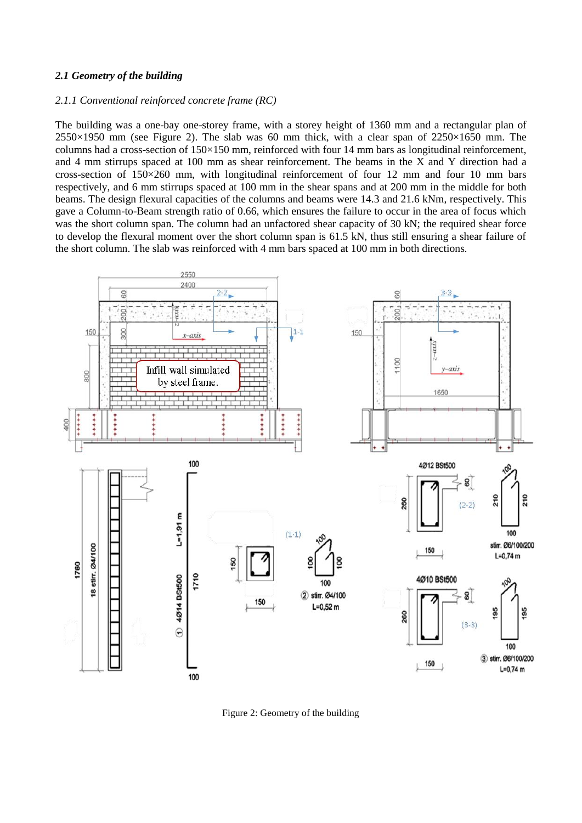#### *2.1 Geometry of the building*

#### *2.1.1 Conventional reinforced concrete frame (RC)*

The building was a one-bay one-storey frame, with a storey height of 1360 mm and a rectangular plan of  $2550\times1950$  mm (see [Figure 2\)](#page-3-0). The slab was 60 mm thick, with a clear span of  $2250\times1650$  mm. The columns had a cross-section of 150×150 mm, reinforced with four 14 mm bars as longitudinal reinforcement, and 4 mm stirrups spaced at 100 mm as shear reinforcement. The beams in the X and Y direction had a cross-section of 150×260 mm, with longitudinal reinforcement of four 12 mm and four 10 mm bars respectively, and 6 mm stirrups spaced at 100 mm in the shear spans and at 200 mm in the middle for both beams. The design flexural capacities of the columns and beams were 14.3 and 21.6 kNm, respectively. This gave a Column-to-Beam strength ratio of 0.66, which ensures the failure to occur in the area of focus which was the short column span. The column had an unfactored shear capacity of 30 kN; the required shear force to develop the flexural moment over the short column span is 61.5 kN, thus still ensuring a shear failure of the short column. The slab was reinforced with 4 mm bars spaced at 100 mm in both directions.



<span id="page-3-0"></span>Figure 2: Geometry of the building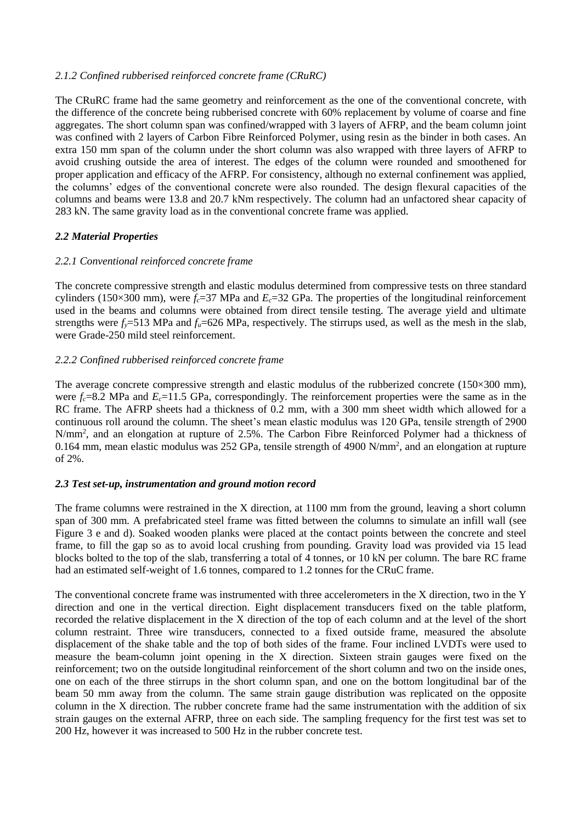### *2.1.2 Confined rubberised reinforced concrete frame (CRuRC)*

The CRuRC frame had the same geometry and reinforcement as the one of the conventional concrete, with the difference of the concrete being rubberised concrete with 60% replacement by volume of coarse and fine aggregates. The short column span was confined/wrapped with 3 layers of AFRP, and the beam column joint was confined with 2 layers of Carbon Fibre Reinforced Polymer, using resin as the binder in both cases. An extra 150 mm span of the column under the short column was also wrapped with three layers of AFRP to avoid crushing outside the area of interest. The edges of the column were rounded and smoothened for proper application and efficacy of the AFRP. For consistency, although no external confinement was applied, the columns' edges of the conventional concrete were also rounded. The design flexural capacities of the columns and beams were 13.8 and 20.7 kNm respectively. The column had an unfactored shear capacity of 283 kN. The same gravity load as in the conventional concrete frame was applied.

# *2.2 Material Properties*

### *2.2.1 Conventional reinforced concrete frame*

The concrete compressive strength and elastic modulus determined from compressive tests on three standard cylinders (150×300 mm), were  $f_c$ =37 MPa and  $E_c$ =32 GPa. The properties of the longitudinal reinforcement used in the beams and columns were obtained from direct tensile testing. The average yield and ultimate strengths were  $f<sub>y</sub>=513$  MPa and  $f<sub>u</sub>=626$  MPa, respectively. The stirrups used, as well as the mesh in the slab, were Grade-250 mild steel reinforcement.

### *2.2.2 Confined rubberised reinforced concrete frame*

The average concrete compressive strength and elastic modulus of the rubberized concrete ( $150\times300$  mm), were  $f_c = 8.2$  MPa and  $E_c = 11.5$  GPa, correspondingly. The reinforcement properties were the same as in the RC frame. The AFRP sheets had a thickness of 0.2 mm, with a 300 mm sheet width which allowed for a continuous roll around the column. The sheet's mean elastic modulus was 120 GPa, tensile strength of 2900 N/mm<sup>2</sup>, and an elongation at rupture of 2.5%. The Carbon Fibre Reinforced Polymer had a thickness of 0.164 mm, mean elastic modulus was 252 GPa, tensile strength of 4900 N/mm<sup>2</sup>, and an elongation at rupture of 2%.

#### *2.3 Test set-up, instrumentation and ground motion record*

The frame columns were restrained in the X direction, at 1100 mm from the ground, leaving a short column span of 300 mm. A prefabricated steel frame was fitted between the columns to simulate an infill wall (see [Figure 3](#page-5-0) e and d). Soaked wooden planks were placed at the contact points between the concrete and steel frame, to fill the gap so as to avoid local crushing from pounding. Gravity load was provided via 15 lead blocks bolted to the top of the slab, transferring a total of 4 tonnes, or 10 kN per column. The bare RC frame had an estimated self-weight of 1.6 tonnes, compared to 1.2 tonnes for the CRuC frame.

The conventional concrete frame was instrumented with three accelerometers in the X direction, two in the Y direction and one in the vertical direction. Eight displacement transducers fixed on the table platform, recorded the relative displacement in the X direction of the top of each column and at the level of the short column restraint. Three wire transducers, connected to a fixed outside frame, measured the absolute displacement of the shake table and the top of both sides of the frame. Four inclined LVDTs were used to measure the beam-column joint opening in the X direction. Sixteen strain gauges were fixed on the reinforcement; two on the outside longitudinal reinforcement of the short column and two on the inside ones, one on each of the three stirrups in the short column span, and one on the bottom longitudinal bar of the beam 50 mm away from the column. The same strain gauge distribution was replicated on the opposite column in the X direction. The rubber concrete frame had the same instrumentation with the addition of six strain gauges on the external AFRP, three on each side. The sampling frequency for the first test was set to 200 Hz, however it was increased to 500 Hz in the rubber concrete test.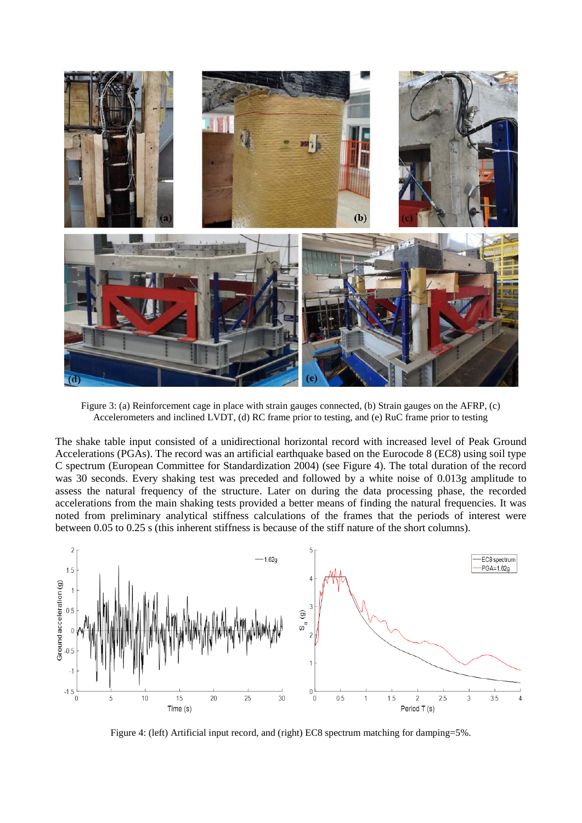

Figure 3: (a) Reinforcement cage in place with strain gauges connected, (b) Strain gauges on the AFRP, (c) Accelerometers and inclined LVDT, (d) RC frame prior to testing, and (e) RuC frame prior to testing

<span id="page-5-0"></span>The shake table input consisted of a unidirectional horizontal record with increased level of Peak Ground Accelerations (PGAs). The record was an artificial earthquake based on the Eurocode 8 (EC8) using soil type C spectrum (European Committee for Standardization 2004) (see [Figure](#page-5-1) 4). The total duration of the record was 30 seconds. Every shaking test was preceded and followed by a white noise of 0.013g amplitude to assess the natural frequency of the structure. Later on during the data processing phase, the recorded accelerations from the main shaking tests provided a better means of finding the natural frequencies. It was noted from preliminary analytical stiffness calculations of the frames that the periods of interest were between 0.05 to 0.25 s (this inherent stiffness is because of the stiff nature of the short columns).



<span id="page-5-1"></span>Figure 4: (left) Artificial input record, and (right) EC8 spectrum matching for damping=5%.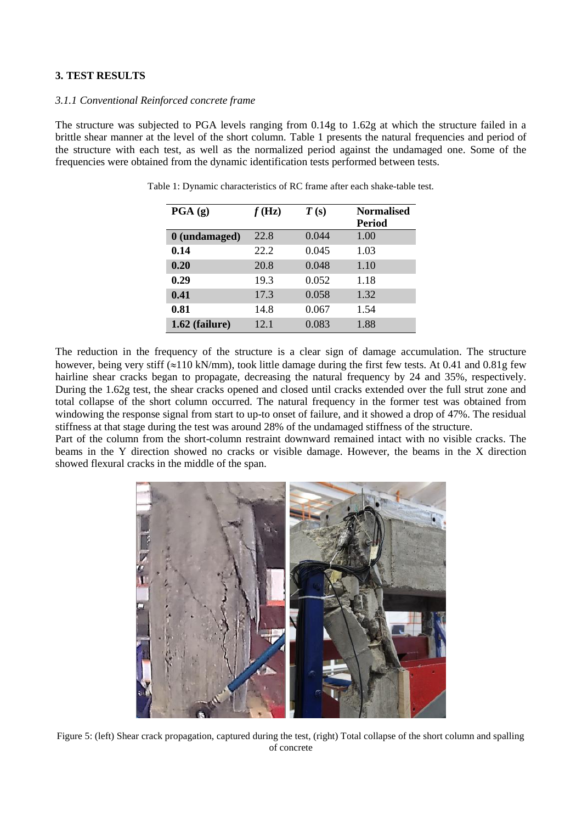### **3. TEST RESULTS**

#### *3.1.1 Conventional Reinforced concrete frame*

<span id="page-6-0"></span>The structure was subjected to PGA levels ranging from 0.14g to 1.62g at which the structure failed in a brittle shear manner at the level of the short column. [Table 1](#page-6-0) presents the natural frequencies and period of the structure with each test, as well as the normalized period against the undamaged one. Some of the frequencies were obtained from the dynamic identification tests performed between tests.

| PGA(g)         | f(Hz) | T(s)  | <b>Normalised</b> |
|----------------|-------|-------|-------------------|
|                |       |       | <b>Period</b>     |
| 0 (undamaged)  | 22.8  | 0.044 | 1.00              |
| 0.14           | 22.2  | 0.045 | 1.03              |
| 0.20           | 20.8  | 0.048 | 1.10              |
| 0.29           | 19.3  | 0.052 | 1.18              |
| 0.41           | 17.3  | 0.058 | 1.32              |
| 0.81           | 14.8  | 0.067 | 1.54              |
| 1.62 (failure) | 12.1  | 0.083 | 1.88              |

Table 1: Dynamic characteristics of RC frame after each shake-table test.

The reduction in the frequency of the structure is a clear sign of damage accumulation. The structure however, being very stiff  $(\approx 110 \text{ kN/mm})$ , took little damage during the first few tests. At 0.41 and 0.81g few hairline shear cracks began to propagate, decreasing the natural frequency by 24 and 35%, respectively. During the 1.62g test, the shear cracks opened and closed until cracks extended over the full strut zone and total collapse of the short column occurred. The natural frequency in the former test was obtained from windowing the response signal from start to up-to onset of failure, and it showed a drop of 47%. The residual stiffness at that stage during the test was around 28% of the undamaged stiffness of the structure.

Part of the column from the short-column restraint downward remained intact with no visible cracks. The beams in the Y direction showed no cracks or visible damage. However, the beams in the X direction showed flexural cracks in the middle of the span.



Figure 5: (left) Shear crack propagation, captured during the test, (right) Total collapse of the short column and spalling of concrete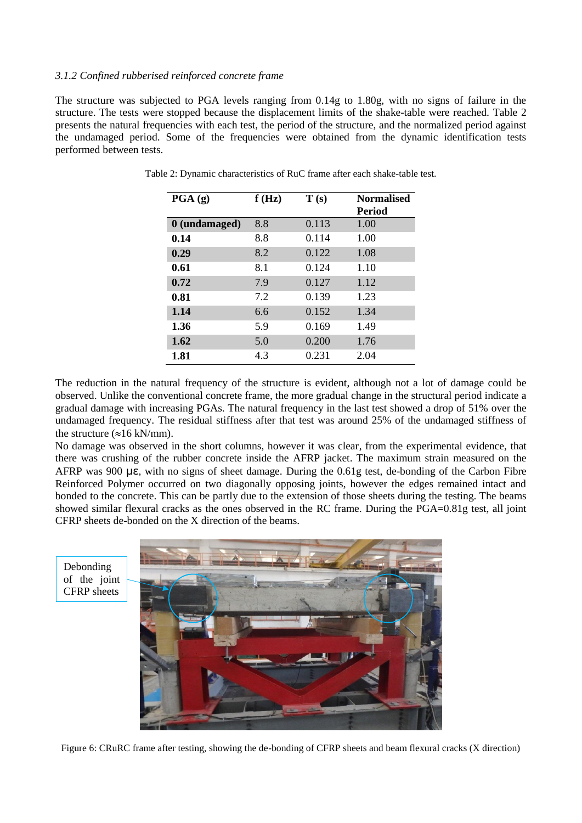#### *3.1.2 Confined rubberised reinforced concrete frame*

<span id="page-7-0"></span>The structure was subjected to PGA levels ranging from 0.14g to 1.80g, with no signs of failure in the structure. The tests were stopped because the displacement limits of the shake-table were reached. [Table 2](#page-7-0) presents the natural frequencies with each test, the period of the structure, and the normalized period against the undamaged period. Some of the frequencies were obtained from the dynamic identification tests performed between tests.

| PGA(g)        | f(Hz) | $\mathbf{T}\left( \mathbf{s}\right)$ | <b>Normalised</b><br><b>Period</b> |
|---------------|-------|--------------------------------------|------------------------------------|
| 0 (undamaged) | 8.8   | 0.113                                | 1.00                               |
| 0.14          | 8.8   | 0.114                                | 1.00                               |
| 0.29          | 8.2   | 0.122                                | 1.08                               |
| 0.61          | 8.1   | 0.124                                | 1.10                               |
| 0.72          | 7.9   | 0.127                                | 1.12                               |
| 0.81          | 7.2   | 0.139                                | 1.23                               |
| 1.14          | 6.6   | 0.152                                | 1.34                               |
| 1.36          | 5.9   | 0.169                                | 1.49                               |
| 1.62          | 5.0   | 0.200                                | 1.76                               |
| 1.81          | 4.3   | 0.231                                | 2.04                               |

Table 2: Dynamic characteristics of RuC frame after each shake-table test.

The reduction in the natural frequency of the structure is evident, although not a lot of damage could be observed. Unlike the conventional concrete frame, the more gradual change in the structural period indicate a gradual damage with increasing PGAs. The natural frequency in the last test showed a drop of 51% over the undamaged frequency. The residual stiffness after that test was around 25% of the undamaged stiffness of the structure  $(\approx 16 \text{ kN/mm})$ .

No damage was observed in the short columns, however it was clear, from the experimental evidence, that there was crushing of the rubber concrete inside the AFRP jacket. The maximum strain measured on the AFRP was 900 με, with no signs of sheet damage. During the 0.61g test, de-bonding of the Carbon Fibre Reinforced Polymer occurred on two diagonally opposing joints, however the edges remained intact and bonded to the concrete. This can be partly due to the extension of those sheets during the testing. The beams showed similar flexural cracks as the ones observed in the RC frame. During the PGA=0.81g test, all joint CFRP sheets de-bonded on the X direction of the beams.

Debonding of the joint CFRP sheets



Figure 6: CRuRC frame after testing, showing the de-bonding of CFRP sheets and beam flexural cracks (X direction)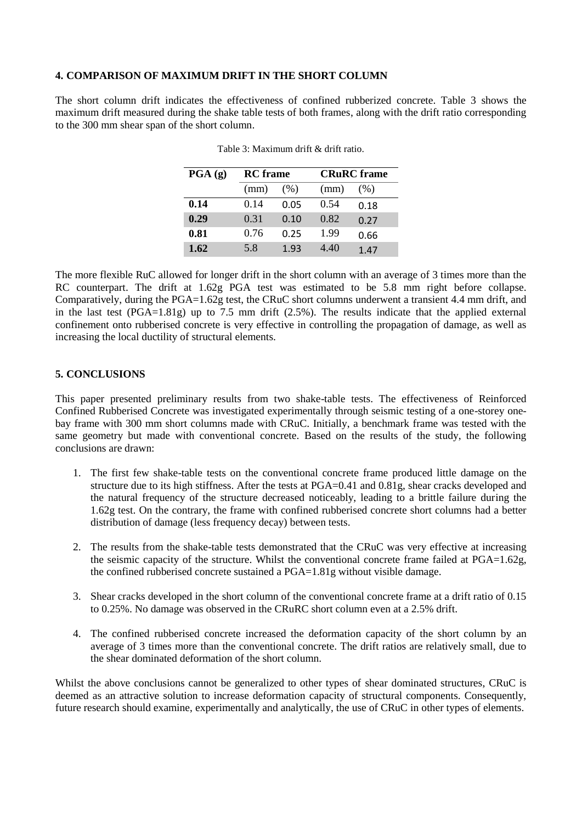### **4. COMPARISON OF MAXIMUM DRIFT IN THE SHORT COLUMN**

<span id="page-8-0"></span>The short column drift indicates the effectiveness of confined rubberized concrete. [Table 3](#page-8-0) shows the maximum drift measured during the shake table tests of both frames, along with the drift ratio corresponding to the 300 mm shear span of the short column.

| $\overline{PGA}(g)$ | <b>RC</b> frame |      |      | <b>CRuRC</b> frame |  |
|---------------------|-----------------|------|------|--------------------|--|
|                     | (mm)            | (% ) | (mm) | (% )               |  |
| 0.14                | 0.14            | 0.05 | 0.54 | 0.18               |  |
| 0.29                | 0.31            | 0.10 | 0.82 | 0.27               |  |
| 0.81                | 0.76            | 0.25 | 1.99 | 0.66               |  |
| 1.62                | 5.8             | 1.93 | 4.40 | 1.47               |  |

The more flexible RuC allowed for longer drift in the short column with an average of 3 times more than the RC counterpart. The drift at 1.62g PGA test was estimated to be 5.8 mm right before collapse. Comparatively, during the PGA=1.62g test, the CRuC short columns underwent a transient 4.4 mm drift, and in the last test (PGA=1.81g) up to 7.5 mm drift (2.5%). The results indicate that the applied external confinement onto rubberised concrete is very effective in controlling the propagation of damage, as well as increasing the local ductility of structural elements.

#### **5. CONCLUSIONS**

This paper presented preliminary results from two shake-table tests. The effectiveness of Reinforced Confined Rubberised Concrete was investigated experimentally through seismic testing of a one-storey onebay frame with 300 mm short columns made with CRuC. Initially, a benchmark frame was tested with the same geometry but made with conventional concrete. Based on the results of the study, the following conclusions are drawn:

- 1. The first few shake-table tests on the conventional concrete frame produced little damage on the structure due to its high stiffness. After the tests at PGA=0.41 and 0.81g, shear cracks developed and the natural frequency of the structure decreased noticeably, leading to a brittle failure during the 1.62g test. On the contrary, the frame with confined rubberised concrete short columns had a better distribution of damage (less frequency decay) between tests.
- 2. The results from the shake-table tests demonstrated that the CRuC was very effective at increasing the seismic capacity of the structure. Whilst the conventional concrete frame failed at PGA=1.62g, the confined rubberised concrete sustained a PGA=1.81g without visible damage.
- 3. Shear cracks developed in the short column of the conventional concrete frame at a drift ratio of 0.15 to 0.25%. No damage was observed in the CRuRC short column even at a 2.5% drift.
- 4. The confined rubberised concrete increased the deformation capacity of the short column by an average of 3 times more than the conventional concrete. The drift ratios are relatively small, due to the shear dominated deformation of the short column.

Whilst the above conclusions cannot be generalized to other types of shear dominated structures, CRuC is deemed as an attractive solution to increase deformation capacity of structural components. Consequently, future research should examine, experimentally and analytically, the use of CRuC in other types of elements.